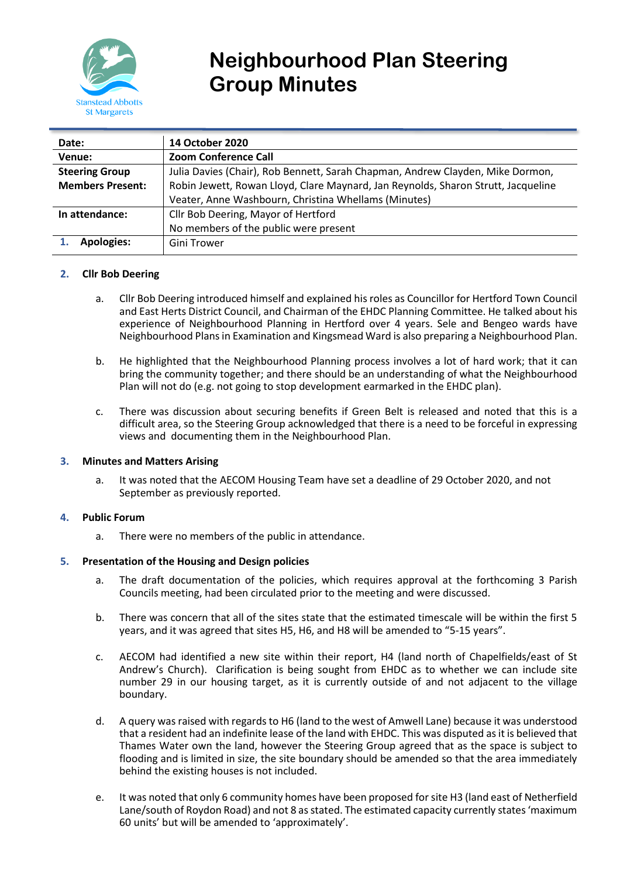

# **Neighbourhood Plan Steering Group Minutes**

| Date:                   | <b>14 October 2020</b>                                                            |
|-------------------------|-----------------------------------------------------------------------------------|
| Venue:                  | <b>Zoom Conference Call</b>                                                       |
| <b>Steering Group</b>   | Julia Davies (Chair), Rob Bennett, Sarah Chapman, Andrew Clayden, Mike Dormon,    |
| <b>Members Present:</b> | Robin Jewett, Rowan Lloyd, Clare Maynard, Jan Reynolds, Sharon Strutt, Jacqueline |
|                         | Veater, Anne Washbourn, Christina Whellams (Minutes)                              |
| In attendance:          | Cllr Bob Deering, Mayor of Hertford                                               |
|                         | No members of the public were present                                             |
| <b>Apologies:</b>       | Gini Trower                                                                       |

## **2. Cllr Bob Deering**

- a. Cllr Bob Deering introduced himself and explained his roles as Councillor for Hertford Town Council and East Herts District Council, and Chairman of the EHDC Planning Committee. He talked about his experience of Neighbourhood Planning in Hertford over 4 years. Sele and Bengeo wards have Neighbourhood Plans in Examination and Kingsmead Ward is also preparing a Neighbourhood Plan.
- b. He highlighted that the Neighbourhood Planning process involves a lot of hard work; that it can bring the community together; and there should be an understanding of what the Neighbourhood Plan will not do (e.g. not going to stop development earmarked in the EHDC plan).
- c. There was discussion about securing benefits if Green Belt is released and noted that this is a difficult area, so the Steering Group acknowledged that there is a need to be forceful in expressing views and documenting them in the Neighbourhood Plan.

## **3. Minutes and Matters Arising**

a. It was noted that the AECOM Housing Team have set a deadline of 29 October 2020, and not September as previously reported.

## **4. Public Forum**

a. There were no members of the public in attendance.

## **5. Presentation of the Housing and Design policies**

- a. The draft documentation of the policies, which requires approval at the forthcoming 3 Parish Councils meeting, had been circulated prior to the meeting and were discussed.
- b. There was concern that all of the sites state that the estimated timescale will be within the first 5 years, and it was agreed that sites H5, H6, and H8 will be amended to "5-15 years".
- c. AECOM had identified a new site within their report, H4 (land north of Chapelfields/east of St Andrew's Church). Clarification is being sought from EHDC as to whether we can include site number 29 in our housing target, as it is currently outside of and not adjacent to the village boundary.
- d. A query was raised with regards to H6 (land to the west of Amwell Lane) because it was understood that a resident had an indefinite lease of the land with EHDC. This was disputed as it is believed that Thames Water own the land, however the Steering Group agreed that as the space is subject to flooding and is limited in size, the site boundary should be amended so that the area immediately behind the existing houses is not included.
- e. It was noted that only 6 community homes have been proposed for site H3 (land east of Netherfield Lane/south of Roydon Road) and not 8 as stated. The estimated capacity currently states 'maximum 60 units' but will be amended to 'approximately'.